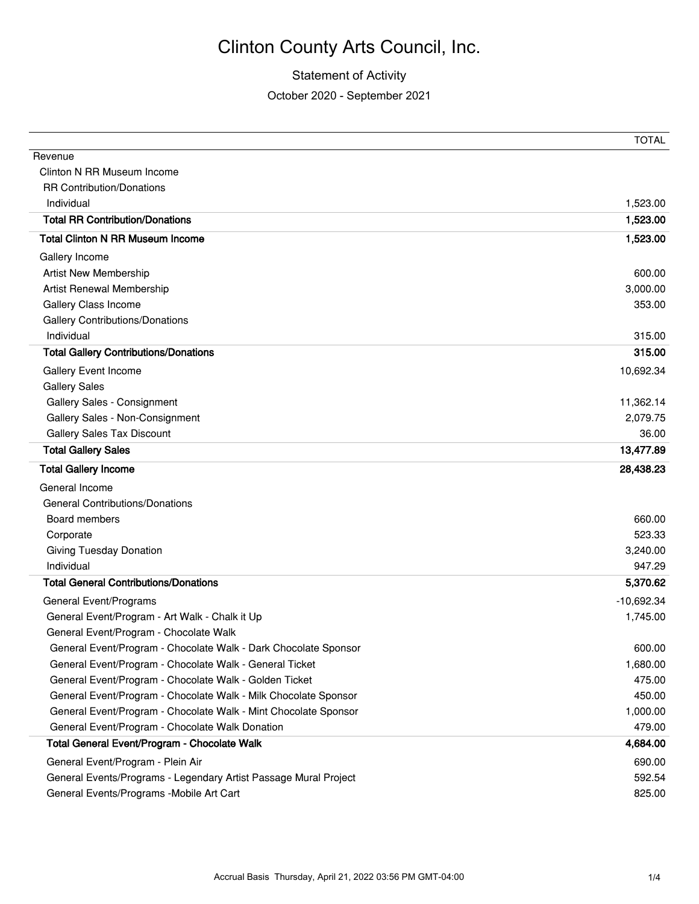#### Statement of Activity

October 2020 - September 2021

|                                                                  | IUIAL        |
|------------------------------------------------------------------|--------------|
| Revenue                                                          |              |
| Clinton N RR Museum Income                                       |              |
| <b>RR Contribution/Donations</b>                                 |              |
| Individual                                                       | 1,523.00     |
| <b>Total RR Contribution/Donations</b>                           | 1,523.00     |
| <b>Total Clinton N RR Museum Income</b>                          | 1,523.00     |
| Gallery Income                                                   |              |
| <b>Artist New Membership</b>                                     | 600.00       |
| Artist Renewal Membership                                        | 3,000.00     |
| Gallery Class Income                                             | 353.00       |
| <b>Gallery Contributions/Donations</b>                           |              |
| Individual                                                       | 315.00       |
| <b>Total Gallery Contributions/Donations</b>                     | 315.00       |
| Gallery Event Income                                             | 10,692.34    |
| <b>Gallery Sales</b>                                             |              |
| Gallery Sales - Consignment                                      | 11,362.14    |
| Gallery Sales - Non-Consignment                                  | 2,079.75     |
| <b>Gallery Sales Tax Discount</b>                                | 36.00        |
| <b>Total Gallery Sales</b>                                       | 13,477.89    |
| <b>Total Gallery Income</b>                                      | 28,438.23    |
| General Income                                                   |              |
| <b>General Contributions/Donations</b>                           |              |
| Board members                                                    | 660.00       |
| Corporate                                                        | 523.33       |
| <b>Giving Tuesday Donation</b>                                   | 3,240.00     |
| Individual                                                       | 947.29       |
| <b>Total General Contributions/Donations</b>                     | 5,370.62     |
| General Event/Programs                                           | $-10,692.34$ |
| General Event/Program - Art Walk - Chalk it Up                   | 1,745.00     |
| General Event/Program - Chocolate Walk                           |              |
| General Event/Program - Chocolate Walk - Dark Chocolate Sponsor  | 600.00       |
| General Event/Program - Chocolate Walk - General Ticket          | 1,680.00     |
| General Event/Program - Chocolate Walk - Golden Ticket           | 475.00       |
| General Event/Program - Chocolate Walk - Milk Chocolate Sponsor  | 450.00       |
| General Event/Program - Chocolate Walk - Mint Chocolate Sponsor  | 1,000.00     |
| General Event/Program - Chocolate Walk Donation                  | 479.00       |
| Total General Event/Program - Chocolate Walk                     | 4,684.00     |
| General Event/Program - Plein Air                                | 690.00       |
| General Events/Programs - Legendary Artist Passage Mural Project | 592.54       |
| General Events/Programs - Mobile Art Cart                        | 825.00       |

 $T$  $T$  $T$  $A$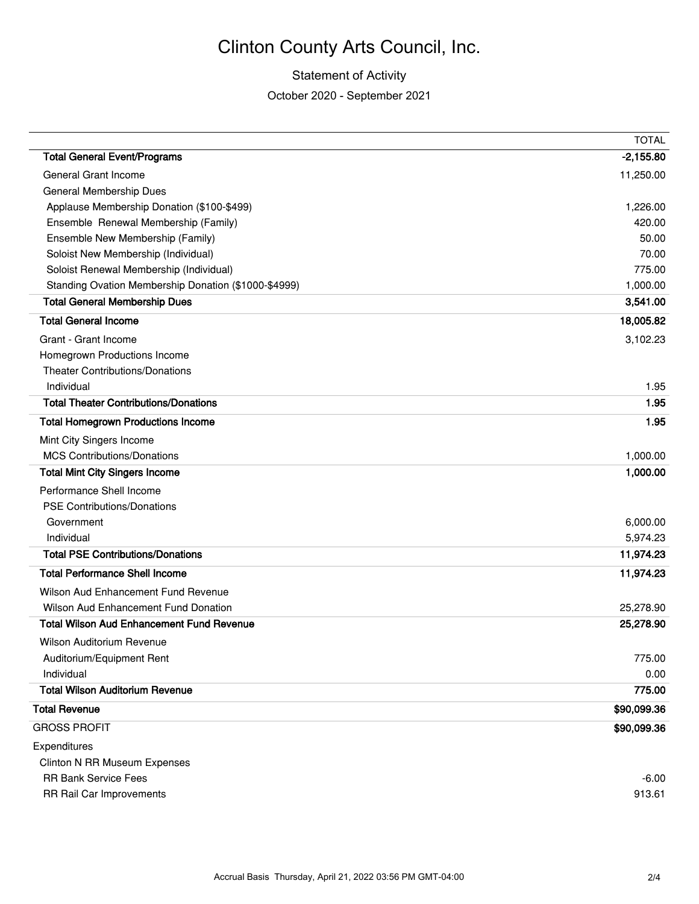#### Statement of Activity

October 2020 - September 2021

|                                                      | <b>TOTAL</b> |
|------------------------------------------------------|--------------|
| <b>Total General Event/Programs</b>                  | $-2,155.80$  |
| <b>General Grant Income</b>                          | 11,250.00    |
| General Membership Dues                              |              |
| Applause Membership Donation (\$100-\$499)           | 1,226.00     |
| Ensemble Renewal Membership (Family)                 | 420.00       |
| Ensemble New Membership (Family)                     | 50.00        |
| Soloist New Membership (Individual)                  | 70.00        |
| Soloist Renewal Membership (Individual)              | 775.00       |
| Standing Ovation Membership Donation (\$1000-\$4999) | 1,000.00     |
| <b>Total General Membership Dues</b>                 | 3,541.00     |
| <b>Total General Income</b>                          | 18,005.82    |
| Grant - Grant Income                                 | 3,102.23     |
| Homegrown Productions Income                         |              |
| <b>Theater Contributions/Donations</b>               |              |
| Individual                                           | 1.95         |
| <b>Total Theater Contributions/Donations</b>         | 1.95         |
| <b>Total Homegrown Productions Income</b>            | 1.95         |
| Mint City Singers Income                             |              |
| <b>MCS Contributions/Donations</b>                   | 1,000.00     |
| <b>Total Mint City Singers Income</b>                | 1,000.00     |
| Performance Shell Income                             |              |
| <b>PSE Contributions/Donations</b>                   |              |
| Government                                           | 6,000.00     |
| Individual                                           | 5,974.23     |
| <b>Total PSE Contributions/Donations</b>             | 11,974.23    |
| <b>Total Performance Shell Income</b>                | 11,974.23    |
| Wilson Aud Enhancement Fund Revenue                  |              |
| <b>Wilson Aud Enhancement Fund Donation</b>          | 25,278.90    |
| <b>Total Wilson Aud Enhancement Fund Revenue</b>     | 25,278.90    |
| Wilson Auditorium Revenue                            |              |
| Auditorium/Equipment Rent                            | 775.00       |
| Individual                                           | 0.00         |
| <b>Total Wilson Auditorium Revenue</b>               | 775.00       |
| <b>Total Revenue</b>                                 | \$90,099.36  |
| <b>GROSS PROFIT</b>                                  | \$90,099.36  |
| Expenditures                                         |              |
| <b>Clinton N RR Museum Expenses</b>                  |              |
| <b>RR Bank Service Fees</b>                          | $-6.00$      |
| RR Rail Car Improvements                             | 913.61       |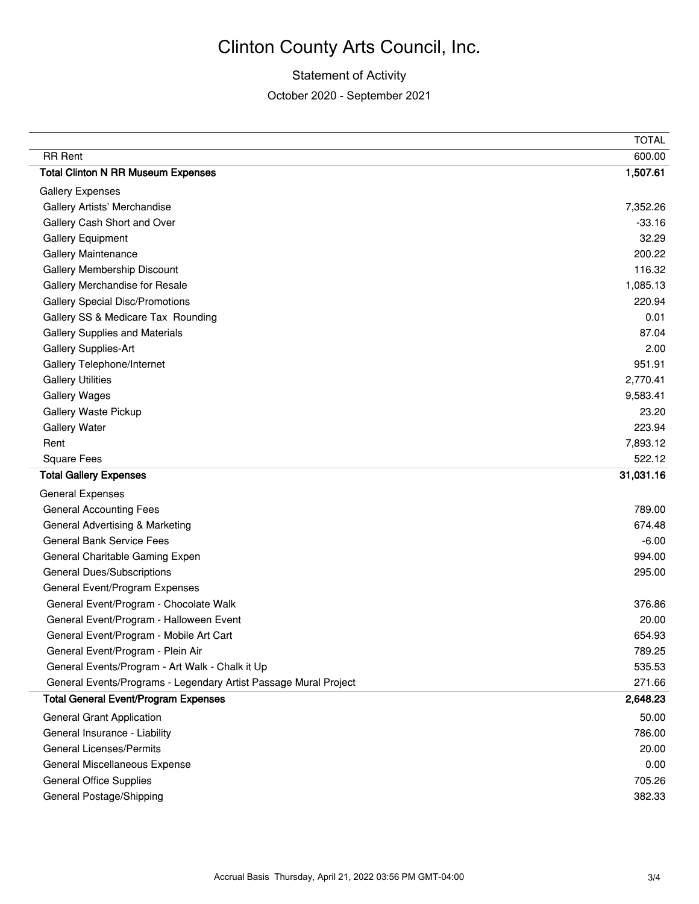#### Statement of Activity

October 2020 - September 2021

|                                                                  | <b>TOTAL</b> |
|------------------------------------------------------------------|--------------|
| <b>RR</b> Rent                                                   | 600.00       |
| <b>Total Clinton N RR Museum Expenses</b>                        | 1,507.61     |
| <b>Gallery Expenses</b>                                          |              |
| Gallery Artists' Merchandise                                     | 7,352.26     |
| Gallery Cash Short and Over                                      | $-33.16$     |
| <b>Gallery Equipment</b>                                         | 32.29        |
| <b>Gallery Maintenance</b>                                       | 200.22       |
| Gallery Membership Discount                                      | 116.32       |
| Gallery Merchandise for Resale                                   | 1,085.13     |
| <b>Gallery Special Disc/Promotions</b>                           | 220.94       |
| Gallery SS & Medicare Tax Rounding                               | 0.01         |
| <b>Gallery Supplies and Materials</b>                            | 87.04        |
| <b>Gallery Supplies-Art</b>                                      | 2.00         |
| Gallery Telephone/Internet                                       | 951.91       |
| <b>Gallery Utilities</b>                                         | 2,770.41     |
| <b>Gallery Wages</b>                                             | 9,583.41     |
| Gallery Waste Pickup                                             | 23.20        |
| <b>Gallery Water</b>                                             | 223.94       |
| Rent                                                             | 7,893.12     |
| Square Fees                                                      | 522.12       |
| <b>Total Gallery Expenses</b>                                    | 31,031.16    |
| <b>General Expenses</b>                                          |              |
| <b>General Accounting Fees</b>                                   | 789.00       |
| General Advertising & Marketing                                  | 674.48       |
| <b>General Bank Service Fees</b>                                 | $-6.00$      |
| General Charitable Gaming Expen                                  | 994.00       |
| <b>General Dues/Subscriptions</b>                                | 295.00       |
| General Event/Program Expenses                                   |              |
| General Event/Program - Chocolate Walk                           | 376.86       |
| General Event/Program - Halloween Event                          | 20.00        |
| General Event/Program - Mobile Art Cart                          | 654.93       |
| General Event/Program - Plein Air                                | 789.25       |
| General Events/Program - Art Walk - Chalk it Up                  | 535.53       |
| General Events/Programs - Legendary Artist Passage Mural Project | 271.66       |
| <b>Total General Event/Program Expenses</b>                      | 2,648.23     |
| <b>General Grant Application</b>                                 | 50.00        |
| General Insurance - Liability                                    | 786.00       |
| <b>General Licenses/Permits</b>                                  | 20.00        |
| General Miscellaneous Expense                                    | 0.00         |
| <b>General Office Supplies</b>                                   | 705.26       |
|                                                                  |              |